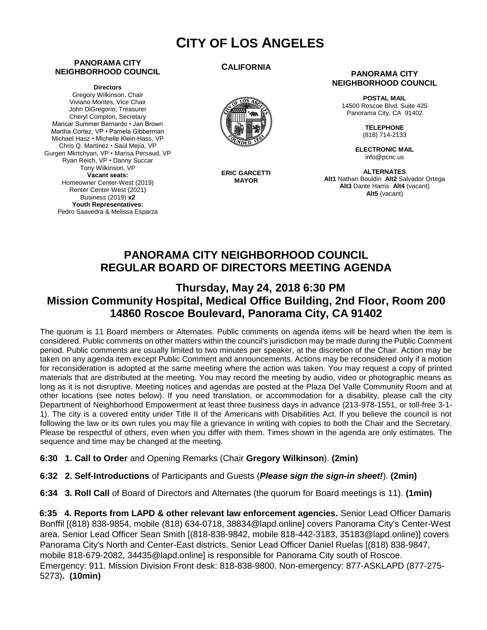# **CITY OF LOS ANGELES**

#### **PANORAMA CITY NEIGHBORHOOD COUNCIL**

**Directors**

Gregory Wilkinson, Chair Viviano Montes, Vice Chair John DiGregorio, Treasurer Cheryl Compton, Secretary Maricar Summer Bernardo • Jan Brown Martha Cortez, VP • Pamela Gibberman Michael Hasz • Michelle Klein-Hass, VP Chris Q. Martinez • Saúl Mejía, VP Gurgen Mkrtchyan, VP • Marisa Persaud, VP Ryan Reich, VP • Danny Succar Tony Wilkinson, VP **Vacant seats:**  Homeowner Center-West (2019) Renter Center-West (2021) Business (2019) **x2 Youth Representatives:**  Pedro Saavedra & Melissa Esparza

#### **CALIFORNIA**



**ERIC GARCETTI MAYOR**

#### **PANORAMA CITY NEIGHBORHOOD COUNCIL**

**POSTAL MAIL** 14500 Roscoe Blvd, Suite 425 Panorama City, CA 91402

> **TELEPHONE** (818) 714-2133

**ELECTRONIC MAIL** info@pcnc.us

**ALTERNATES Alt1** Nathan Bouldin **Alt2** Salvador Ortega **Alt3** Dante Harris **Alt4** (vacant) **Alt5** (vacant)

## **PANORAMA CITY NEIGHBORHOOD COUNCIL REGULAR BOARD OF DIRECTORS MEETING AGENDA**

### **Thursday, May 24, 2018 6:30 PM Mission Community Hospital, Medical Office Building, 2nd Floor, Room 200 14860 Roscoe Boulevard, Panorama City, CA 91402**

The quorum is 11 Board members or Alternates. Public comments on agenda items will be heard when the item is considered. Public comments on other matters within the council's jurisdiction may be made during the Public Comment period. Public comments are usually limited to two minutes per speaker, at the discretion of the Chair. Action may be taken on any agenda item except Public Comment and announcements. Actions may be reconsidered only if a motion for reconsideration is adopted at the same meeting where the action was taken. You may request a copy of printed materials that are distributed at the meeting. You may record the meeting by audio, video or photographic means as long as it is not disruptive. Meeting notices and agendas are posted at the Plaza Del Valle Community Room and at other locations (see notes below). If you need translation, or accommodation for a disability, please call the city Department of Neighborhood Empowerment at least three business days in advance (213-978-1551, or toll-free 3-1- 1). The city is a covered entity under Title II of the Americans with Disabilities Act. If you believe the council is not following the law or its own rules you may file a grievance in writing with copies to both the Chair and the Secretary. Please be respectful of others, even when you differ with them. Times shown in the agenda are only estimates. The sequence and time may be changed at the meeting.

- **6:30 1. Call to Order** and Opening Remarks (Chair **Gregory Wilkinson**). **(2min)**
- **6:32 2. Self-Introductions** of Participants and Guests (*Please sign the sign-in sheet!*). **(2min)**
- **6:34 3. Roll Call** of Board of Directors and Alternates (the quorum for Board meetings is 11). **(1min)**

**6:35 4. Reports from LAPD & other relevant law enforcement agencies.** Senior Lead Officer Damaris Bonffil [(818) 838-9854, mobile (818) 634-0718, 38834@lapd.online] covers Panorama City's Center-West area. Senior Lead Officer Sean Smith [(818-838-9842, mobile 818-442-3183, 35183@lapd.online)] covers Panorama City's North and Center-East districts. Senior Lead Officer Daniel Ruelas [(818) 838-9847, mobile 818-679-2082, 34435@lapd.online] is responsible for Panorama City south of Roscoe. Emergency: 911. Mission Division Front desk: 818-838-9800. Non-emergency: 877-ASKLAPD (877-275- 5273)**. (10min)**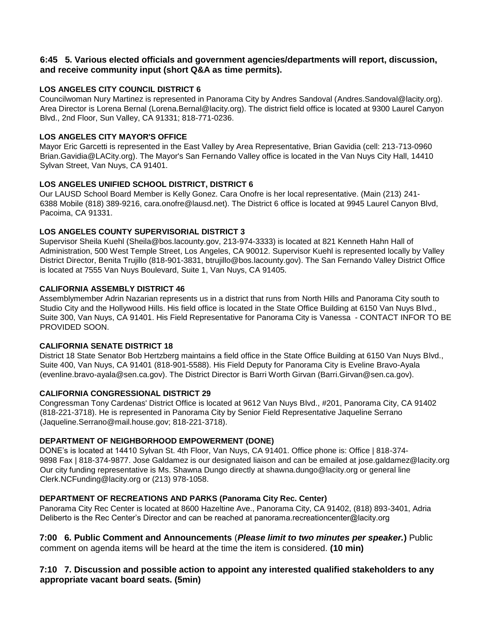#### **6:45 5. Various elected officials and government agencies/departments will report, discussion, and receive community input (short Q&A as time permits).**

### **LOS ANGELES CITY COUNCIL DISTRICT 6**

Councilwoman Nury Martinez is represented in Panorama City by Andres Sandoval (Andres.Sandoval@lacity.org). Area Director is Lorena Bernal (Lorena.Bernal@lacity.org). The district field office is located at 9300 Laurel Canyon Blvd., 2nd Floor, Sun Valley, CA 91331; 818-771-0236.

#### **LOS ANGELES CITY MAYOR'S OFFICE**

Mayor Eric Garcetti is represented in the East Valley by Area Representative, Brian Gavidia (cell: 213-713-0960 Brian.Gavidia@LACity.org). The Mayor's San Fernando Valley office is located in the Van Nuys City Hall, 14410 Sylvan Street, Van Nuys, CA 91401.

#### **LOS ANGELES UNIFIED SCHOOL DISTRICT, DISTRICT 6**

Our LAUSD School Board Member is Kelly Gonez. Cara Onofre is her local representative. (Main (213) 241- 6388 Mobile (818) 389-9216, cara.onofre@lausd.net). The District 6 office is located at 9945 Laurel Canyon Blvd, Pacoima, CA 91331.

#### **LOS ANGELES COUNTY SUPERVISORIAL DISTRICT 3**

Supervisor Sheila Kuehl (Sheila@bos.lacounty.gov, 213-974-3333) is located at 821 Kenneth Hahn Hall of Administration, 500 West Temple Street, Los Angeles, CA 90012. Supervisor Kuehl is represented locally by Valley District Director, Benita Trujillo (818-901-3831, btrujillo@bos.lacounty.gov). The San Fernando Valley District Office is located at 7555 Van Nuys Boulevard, Suite 1, Van Nuys, CA 91405.

#### **CALIFORNIA ASSEMBLY DISTRICT 46**

Assemblymember Adrin Nazarian represents us in a district that runs from North Hills and Panorama City south to Studio City and the Hollywood Hills. His field office is located in the State Office Building at 6150 Van Nuys Blvd., Suite 300, Van Nuys, CA 91401. His Field Representative for Panorama City is Vanessa - CONTACT INFOR TO BE PROVIDED SOON.

#### **CALIFORNIA SENATE DISTRICT 18**

District 18 State Senator Bob Hertzberg maintains a field office in the State Office Building at 6150 Van Nuys Blvd., Suite 400, Van Nuys, CA 91401 (818-901-5588). His Field Deputy for Panorama City is Eveline Bravo-Ayala (evenline.bravo-ayala@sen.ca.gov). The District Director is Barri Worth Girvan (Barri.Girvan@sen.ca.gov).

#### **CALIFORNIA CONGRESSIONAL DISTRICT 29**

Congressman Tony Cardenas' District Office is located at 9612 Van Nuys Blvd., #201, Panorama City, CA 91402 (818-221-3718). He is represented in Panorama City by Senior Field Representative Jaqueline Serrano (Jaqueline.Serrano@mail.house.gov; 818-221-3718).

#### **DEPARTMENT OF NEIGHBORHOOD EMPOWERMENT (DONE)**

DONE's is located at 14410 Sylvan St. 4th Floor, Van Nuys, CA 91401. Office phone is: Office | 818-374- 9898 Fax | 818-374-9877. Jose Galdamez is our designated liaison and can be emailed at jose.galdamez@lacity.org Our city funding representative is Ms. Shawna Dungo directly at shawna.dungo@lacity.org or general line Clerk.NCFunding@lacity.org or (213) 978-1058.

### **DEPARTMENT OF RECREATIONS AND PARKS (Panorama City Rec. Center)**

Panorama City Rec Center is located at 8600 Hazeltine Ave., Panorama City, CA 91402, (818) 893-3401, Adria Deliberto is the Rec Center's Director and can be reached at panorama.recreationcenter@lacity.org

**7:00 6. Public Comment and Announcements** (*Please limit to two minutes per speaker.***)** Public comment on agenda items will be heard at the time the item is considered. **(10 min)**

### **7:10 7. Discussion and possible action to appoint any interested qualified stakeholders to any appropriate vacant board seats. (5min)**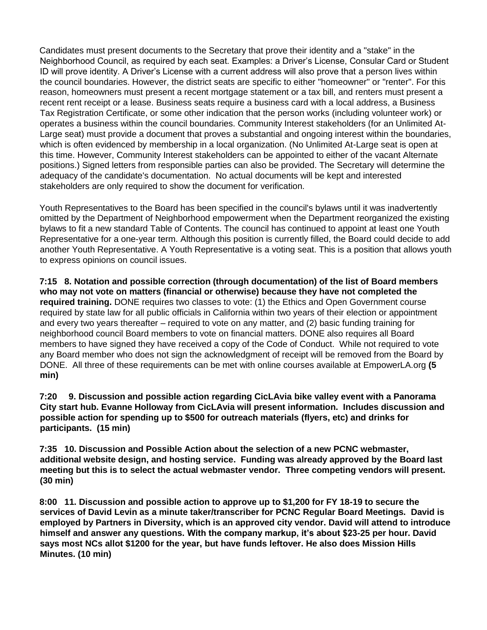Candidates must present documents to the Secretary that prove their identity and a "stake" in the Neighborhood Council, as required by each seat. Examples: a Driver's License, Consular Card or Student ID will prove identity. A Driver's License with a current address will also prove that a person lives within the council boundaries. However, the district seats are specific to either "homeowner" or "renter". For this reason, homeowners must present a recent mortgage statement or a tax bill, and renters must present a recent rent receipt or a lease. Business seats require a business card with a local address, a Business Tax Registration Certificate, or some other indication that the person works (including volunteer work) or operates a business within the council boundaries. Community Interest stakeholders (for an Unlimited At-Large seat) must provide a document that proves a substantial and ongoing interest within the boundaries, which is often evidenced by membership in a local organization. (No Unlimited At-Large seat is open at this time. However, Community Interest stakeholders can be appointed to either of the vacant Alternate positions.) Signed letters from responsible parties can also be provided. The Secretary will determine the adequacy of the candidate's documentation. No actual documents will be kept and interested stakeholders are only required to show the document for verification.

Youth Representatives to the Board has been specified in the council's bylaws until it was inadvertently omitted by the Department of Neighborhood empowerment when the Department reorganized the existing bylaws to fit a new standard Table of Contents. The council has continued to appoint at least one Youth Representative for a one-year term. Although this position is currently filled, the Board could decide to add another Youth Representative. A Youth Representative is a voting seat. This is a position that allows youth to express opinions on council issues.

**7:15 8. Notation and possible correction (through documentation) of the list of Board members who may not vote on matters (financial or otherwise) because they have not completed the required training.** DONE requires two classes to vote: (1) the Ethics and Open Government course required by state law for all public officials in California within two years of their election or appointment and every two years thereafter – required to vote on any matter, and (2) basic funding training for neighborhood council Board members to vote on financial matters. DONE also requires all Board members to have signed they have received a copy of the Code of Conduct. While not required to vote any Board member who does not sign the acknowledgment of receipt will be removed from the Board by DONE. All three of these requirements can be met with online courses available at EmpowerLA.org **(5 min)** 

**7:20 9. Discussion and possible action regarding CicLAvia bike valley event with a Panorama City start hub. Evanne Holloway from CicLAvia will present information. Includes discussion and possible action for spending up to \$500 for outreach materials (flyers, etc) and drinks for participants. (15 min)**

**7:35 10. Discussion and Possible Action about the selection of a new PCNC webmaster, additional website design, and hosting service. Funding was already approved by the Board last meeting but this is to select the actual webmaster vendor. Three competing vendors will present. (30 min)**

**8:00 11. Discussion and possible action to approve up to \$1,200 for FY 18-19 to secure the services of David Levin as a minute taker/transcriber for PCNC Regular Board Meetings. David is employed by Partners in Diversity, which is an approved city vendor. David will attend to introduce himself and answer any questions. With the company markup, it's about \$23-25 per hour. David says most NCs allot \$1200 for the year, but have funds leftover. He also does Mission Hills Minutes. (10 min)**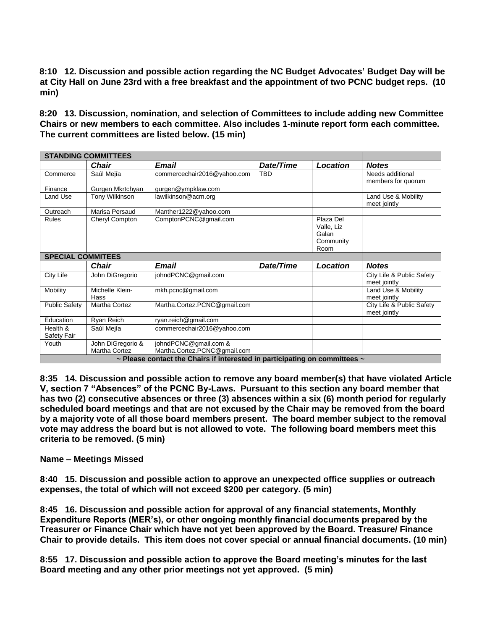**8:10 12. Discussion and possible action regarding the NC Budget Advocates' Budget Day will be at City Hall on June 23rd with a free breakfast and the appointment of two PCNC budget reps. (10 min)**

**8:20 13. Discussion, nomination, and selection of Committees to include adding new Committee Chairs or new members to each committee. Also includes 1-minute report form each committee. The current committees are listed below. (15 min)** 

| <b>STANDING COMMITTEES</b> |                                                                                      |                                                       |            |                                                       |                                           |  |
|----------------------------|--------------------------------------------------------------------------------------|-------------------------------------------------------|------------|-------------------------------------------------------|-------------------------------------------|--|
|                            | <b>Chair</b>                                                                         | <b>Email</b>                                          | Date/Time  | <b>Location</b>                                       | <b>Notes</b>                              |  |
| Commerce                   | Saúl Mejía                                                                           | commercechair2016@yahoo.com                           | <b>TBD</b> |                                                       | Needs additional<br>members for quorum    |  |
| Finance                    | Gurgen Mkrtchyan                                                                     | gurgen@ympklaw.com                                    |            |                                                       |                                           |  |
| Land Use                   | Tony Wilkinson                                                                       | lawilkinson@acm.org                                   |            |                                                       | Land Use & Mobility<br>meet jointly       |  |
| Outreach                   | Marisa Persaud                                                                       | Manther1222@yahoo.com                                 |            |                                                       |                                           |  |
| <b>Rules</b>               | Cheryl Compton                                                                       | ComptonPCNC@gmail.com                                 |            | Plaza Del<br>Valle, Liz<br>Galan<br>Community<br>Room |                                           |  |
| <b>SPECIAL COMMITEES</b>   |                                                                                      |                                                       |            |                                                       |                                           |  |
|                            | Chair                                                                                | <b>Email</b>                                          | Date/Time  | Location                                              | <b>Notes</b>                              |  |
| City Life                  | John DiGregorio                                                                      | johndPCNC@gmail.com                                   |            |                                                       | City Life & Public Safety<br>meet jointly |  |
| Mobility                   | Michelle Klein-<br>Hass                                                              | mkh.pcnc@gmail.com                                    |            |                                                       | Land Use & Mobility<br>meet jointly       |  |
| <b>Public Safety</b>       | Martha Cortez                                                                        | Martha.Cortez.PCNC@gmail.com                          |            |                                                       | City Life & Public Safety<br>meet jointly |  |
| Education                  | Ryan Reich                                                                           | ryan.reich@gmail.com                                  |            |                                                       |                                           |  |
| Health &<br>Safety Fair    | Saúl Mejía                                                                           | commercechair2016@yahoo.com                           |            |                                                       |                                           |  |
| Youth                      | John DiGregorio &<br>Martha Cortez                                                   | johndPCNC@gmail.com &<br>Martha.Cortez.PCNC@gmail.com |            |                                                       |                                           |  |
|                            | $\sim$ Please contact the Chairs if interested in participating on committees $\sim$ |                                                       |            |                                                       |                                           |  |

**8:35 14. Discussion and possible action to remove any board member(s) that have violated Article V, section 7 "Absences" of the PCNC By-Laws. Pursuant to this section any board member that has two (2) consecutive absences or three (3) absences within a six (6) month period for regularly scheduled board meetings and that are not excused by the Chair may be removed from the board by a majority vote of all those board members present. The board member subject to the removal vote may address the board but is not allowed to vote. The following board members meet this criteria to be removed. (5 min)** 

#### **Name – Meetings Missed**

**8:40 15. Discussion and possible action to approve an unexpected office supplies or outreach expenses, the total of which will not exceed \$200 per category. (5 min)**

**8:45 16. Discussion and possible action for approval of any financial statements, Monthly Expenditure Reports (MER's), or other ongoing monthly financial documents prepared by the Treasurer or Finance Chair which have not yet been approved by the Board. Treasure/ Finance Chair to provide details. This item does not cover special or annual financial documents. (10 min)**

**8:55 17. Discussion and possible action to approve the Board meeting's minutes for the last Board meeting and any other prior meetings not yet approved. (5 min)**